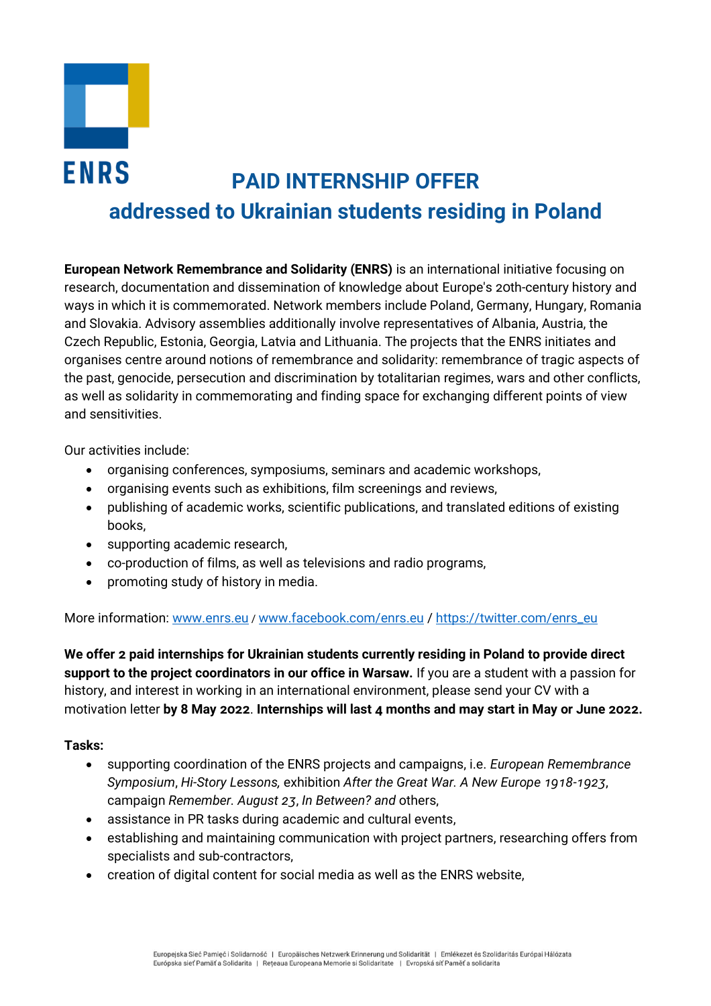

# **ENRS PAID INTERNSHIP OFFER addressed to Ukrainian students residing in Poland**

**European Network Remembrance and Solidarity (ENRS)** is an international initiative focusing on research, documentation and dissemination of knowledge about Europe's 20th-century history and ways in which it is commemorated. Network members include Poland, Germany, Hungary, Romania and Slovakia. Advisory assemblies additionally involve representatives of Albania, Austria, the Czech Republic, Estonia, Georgia, Latvia and Lithuania. The projects that the ENRS initiates and organises centre around notions of remembrance and solidarity: remembrance of tragic aspects of the past, genocide, persecution and discrimination by totalitarian regimes, wars and other conflicts, as well as solidarity in commemorating and finding space for exchanging different points of view and sensitivities.

Our activities include:

- organising conferences, symposiums, seminars and academic workshops,
- organising events such as exhibitions, film screenings and reviews,
- publishing of academic works, scientific publications, and translated editions of existing books,
- supporting academic research,
- co-production of films, as well as televisions and radio programs,
- promoting study of history in media.

More information: [www.enrs.eu](http://www.enrs.eu/) / [www.facebook.com/enrs.eu](http://www.facebook.com/enrs.eu%20/) / [https://twitter.com/enrs\\_eu](https://twitter.com/enrs_eu)

**We offer 2 paid internships for Ukrainian students currently residing in Poland to provide direct support to the project coordinators in our office in Warsaw.** If you are a student with a passion for history, and interest in working in an international environment, please send your CV with a motivation letter **by 8 May 2022**. **Internships will last 4 months and may start in May or June 2022.**

## **Tasks:**

- supporting coordination of the ENRS projects and campaigns, i.e. *European Remembrance Symposium*, *Hi-Story Lessons,* exhibition *After the Great War. A New Europe 1918-1923*, campaign *Remember. August 23*, *In Between? and* others,
- assistance in PR tasks during academic and cultural events,
- establishing and maintaining communication with project partners, researching offers from specialists and sub-contractors,
- creation of digital content for social media as well as the ENRS website,